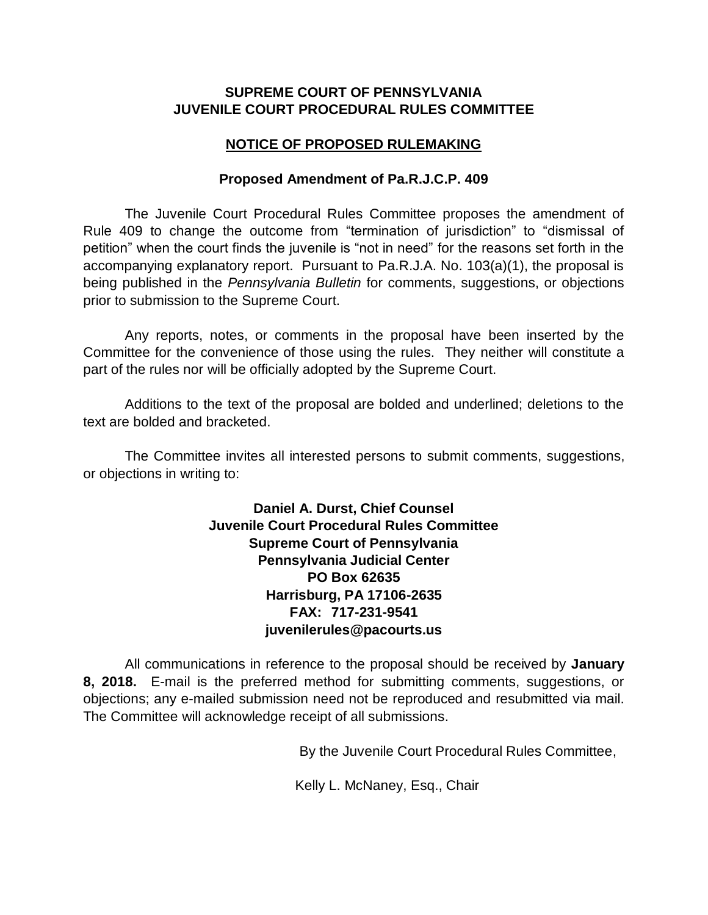# **SUPREME COURT OF PENNSYLVANIA JUVENILE COURT PROCEDURAL RULES COMMITTEE**

# **NOTICE OF PROPOSED RULEMAKING**

### **Proposed Amendment of Pa.R.J.C.P. 409**

The Juvenile Court Procedural Rules Committee proposes the amendment of Rule 409 to change the outcome from "termination of jurisdiction" to "dismissal of petition" when the court finds the juvenile is "not in need" for the reasons set forth in the accompanying explanatory report. Pursuant to Pa.R.J.A. No. 103(a)(1), the proposal is being published in the *Pennsylvania Bulletin* for comments, suggestions, or objections prior to submission to the Supreme Court.

Any reports, notes, or comments in the proposal have been inserted by the Committee for the convenience of those using the rules. They neither will constitute a part of the rules nor will be officially adopted by the Supreme Court.

Additions to the text of the proposal are bolded and underlined; deletions to the text are bolded and bracketed.

The Committee invites all interested persons to submit comments, suggestions, or objections in writing to:

> **Daniel A. Durst, Chief Counsel Juvenile Court Procedural Rules Committee Supreme Court of Pennsylvania Pennsylvania Judicial Center PO Box 62635 Harrisburg, PA 17106-2635 FAX: 717-231-9541 juvenilerules@pacourts.us**

All communications in reference to the proposal should be received by **January 8, 2018.** E-mail is the preferred method for submitting comments, suggestions, or objections; any e-mailed submission need not be reproduced and resubmitted via mail. The Committee will acknowledge receipt of all submissions.

By the Juvenile Court Procedural Rules Committee,

Kelly L. McNaney, Esq., Chair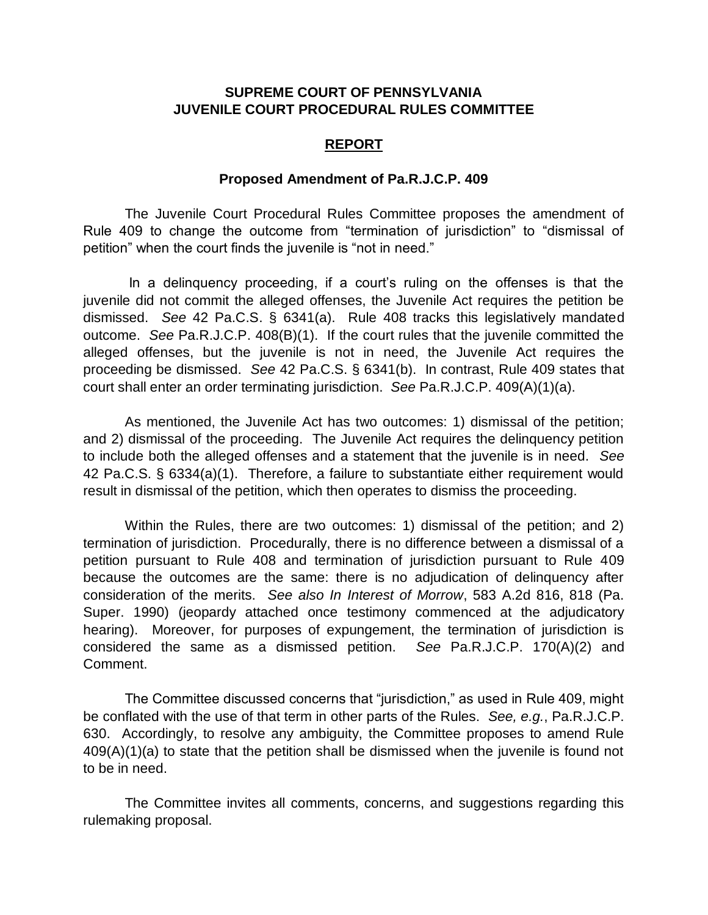### **SUPREME COURT OF PENNSYLVANIA JUVENILE COURT PROCEDURAL RULES COMMITTEE**

#### **REPORT**

#### **Proposed Amendment of Pa.R.J.C.P. 409**

The Juvenile Court Procedural Rules Committee proposes the amendment of Rule 409 to change the outcome from "termination of jurisdiction" to "dismissal of petition" when the court finds the juvenile is "not in need."

In a delinquency proceeding, if a court's ruling on the offenses is that the juvenile did not commit the alleged offenses, the Juvenile Act requires the petition be dismissed. *See* 42 Pa.C.S. § 6341(a). Rule 408 tracks this legislatively mandated outcome. *See* Pa.R.J.C.P. 408(B)(1). If the court rules that the juvenile committed the alleged offenses, but the juvenile is not in need, the Juvenile Act requires the proceeding be dismissed. *See* 42 Pa.C.S. § 6341(b). In contrast, Rule 409 states that court shall enter an order terminating jurisdiction. *See* Pa.R.J.C.P. 409(A)(1)(a).

As mentioned, the Juvenile Act has two outcomes: 1) dismissal of the petition; and 2) dismissal of the proceeding. The Juvenile Act requires the delinquency petition to include both the alleged offenses and a statement that the juvenile is in need. *See* 42 Pa.C.S. § 6334(a)(1). Therefore, a failure to substantiate either requirement would result in dismissal of the petition, which then operates to dismiss the proceeding.

Within the Rules, there are two outcomes: 1) dismissal of the petition; and 2) termination of jurisdiction. Procedurally, there is no difference between a dismissal of a petition pursuant to Rule 408 and termination of jurisdiction pursuant to Rule 409 because the outcomes are the same: there is no adjudication of delinquency after consideration of the merits. *See also In Interest of Morrow*, 583 A.2d 816, 818 (Pa. Super. 1990) (jeopardy attached once testimony commenced at the adjudicatory hearing). Moreover, for purposes of expungement, the termination of jurisdiction is considered the same as a dismissed petition. *See* Pa.R.J.C.P. 170(A)(2) and Comment.

The Committee discussed concerns that "jurisdiction," as used in Rule 409, might be conflated with the use of that term in other parts of the Rules. *See, e.g.*, Pa.R.J.C.P. 630. Accordingly, to resolve any ambiguity, the Committee proposes to amend Rule 409(A)(1)(a) to state that the petition shall be dismissed when the juvenile is found not to be in need.

The Committee invites all comments, concerns, and suggestions regarding this rulemaking proposal.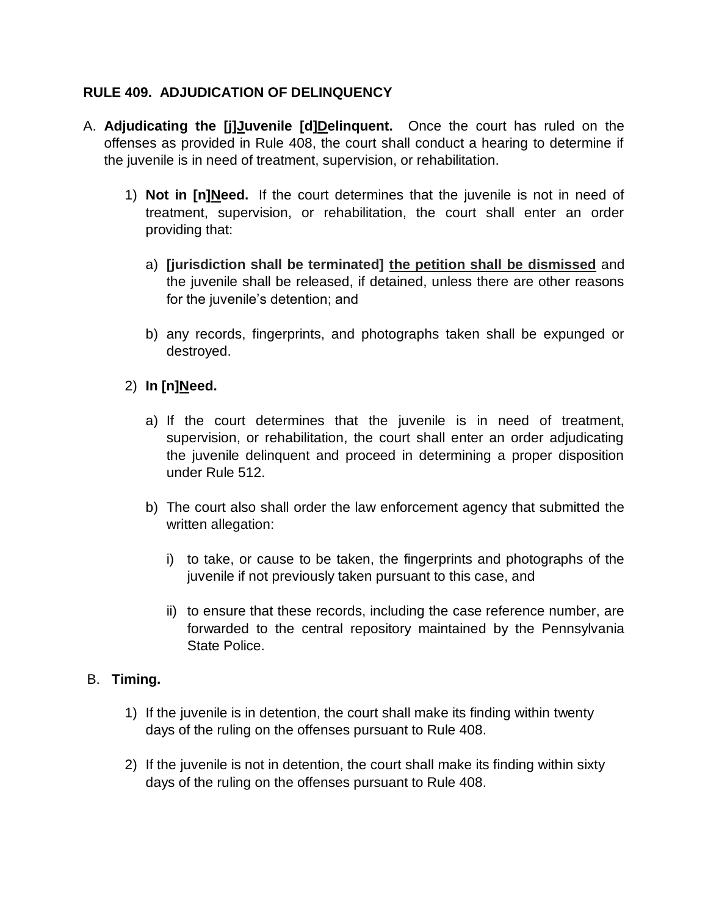# **RULE 409. ADJUDICATION OF DELINQUENCY**

- A. **Adjudicating the [j]Juvenile [d]Delinquent.** Once the court has ruled on the offenses as provided in Rule 408, the court shall conduct a hearing to determine if the juvenile is in need of treatment, supervision, or rehabilitation.
	- 1) **Not in [n]Need.** If the court determines that the juvenile is not in need of treatment, supervision, or rehabilitation, the court shall enter an order providing that:
		- a) **[jurisdiction shall be terminated] the petition shall be dismissed** and the juvenile shall be released, if detained, unless there are other reasons for the juvenile's detention; and
		- b) any records, fingerprints, and photographs taken shall be expunged or destroyed.
	- 2) **In [n]Need.**
		- a) If the court determines that the juvenile is in need of treatment, supervision, or rehabilitation, the court shall enter an order adjudicating the juvenile delinquent and proceed in determining a proper disposition under Rule 512.
		- b) The court also shall order the law enforcement agency that submitted the written allegation:
			- i) to take, or cause to be taken, the fingerprints and photographs of the juvenile if not previously taken pursuant to this case, and
			- ii) to ensure that these records, including the case reference number, are forwarded to the central repository maintained by the Pennsylvania State Police.

### B. **Timing.**

- 1) If the juvenile is in detention, the court shall make its finding within twenty days of the ruling on the offenses pursuant to Rule 408.
- 2) If the juvenile is not in detention, the court shall make its finding within sixty days of the ruling on the offenses pursuant to Rule 408.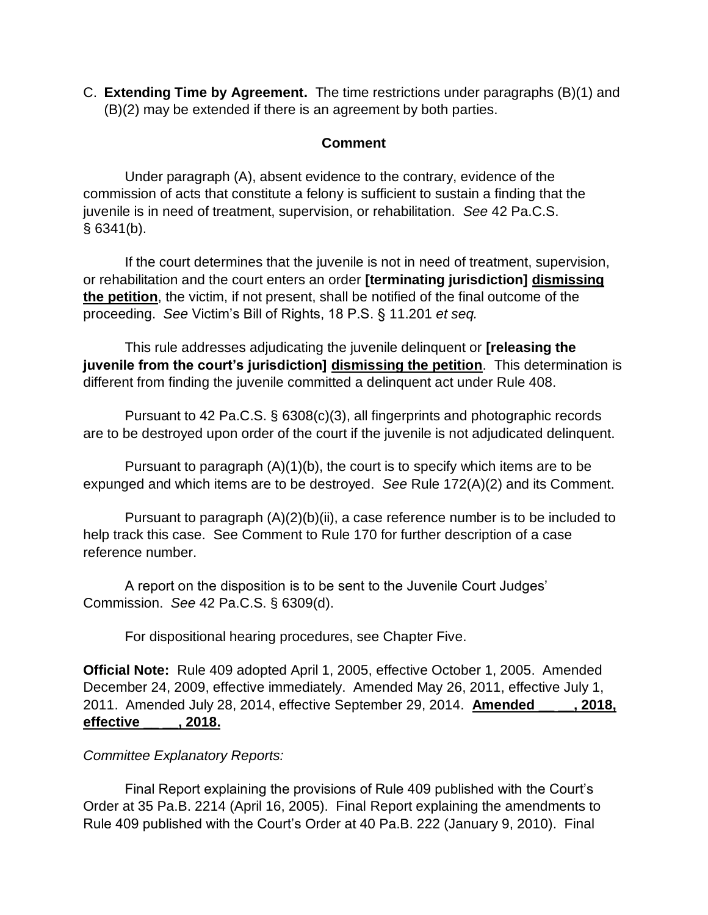C. **Extending Time by Agreement.** The time restrictions under paragraphs (B)(1) and (B)(2) may be extended if there is an agreement by both parties.

# **Comment**

 Under paragraph (A), absent evidence to the contrary, evidence of the commission of acts that constitute a felony is sufficient to sustain a finding that the juvenile is in need of treatment, supervision, or rehabilitation. *See* 42 Pa.C.S. § 6341(b).

 If the court determines that the juvenile is not in need of treatment, supervision, or rehabilitation and the court enters an order **[terminating jurisdiction] dismissing the petition**, the victim, if not present, shall be notified of the final outcome of the proceeding. *See* Victim's Bill of Rights, 18 P.S. § 11.201 *et seq.*

 This rule addresses adjudicating the juvenile delinquent or **[releasing the juvenile from the court's jurisdiction] dismissing the petition**. This determination is different from finding the juvenile committed a delinquent act under Rule 408.

 Pursuant to 42 Pa.C.S. § 6308(c)(3), all fingerprints and photographic records are to be destroyed upon order of the court if the juvenile is not adjudicated delinquent.

 Pursuant to paragraph (A)(1)(b), the court is to specify which items are to be expunged and which items are to be destroyed. *See* Rule 172(A)(2) and its Comment.

 Pursuant to paragraph (A)(2)(b)(ii), a case reference number is to be included to help track this case. See Comment to Rule 170 for further description of a case reference number.

 A report on the disposition is to be sent to the Juvenile Court Judges' Commission. *See* 42 Pa.C.S. § 6309(d).

For dispositional hearing procedures, see Chapter Five.

**Official Note:** Rule 409 adopted April 1, 2005, effective October 1, 2005. Amended December 24, 2009, effective immediately. Amended May 26, 2011, effective July 1, 2011. Amended July 28, 2014, effective September 29, 2014. **Amended \_\_ \_\_, 2018, effective \_\_ \_\_, 2018.**

### *Committee Explanatory Reports:*

Final Report explaining the provisions of Rule 409 published with the Court's Order at 35 Pa.B. 2214 (April 16, 2005). Final Report explaining the amendments to Rule 409 published with the Court's Order at 40 Pa.B. 222 (January 9, 2010). Final